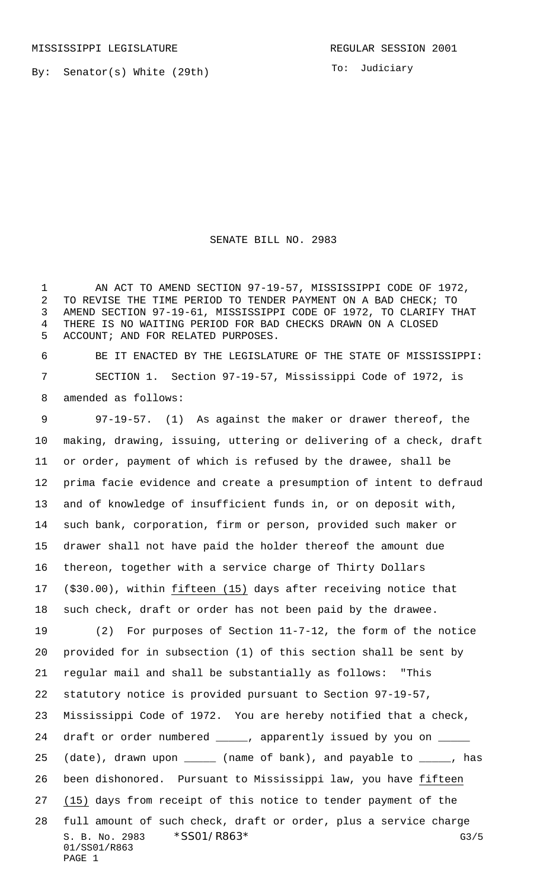MISSISSIPPI LEGISLATURE **REGULAR SESSION 2001** 

By: Senator(s) White (29th)

To: Judiciary

SENATE BILL NO. 2983

 AN ACT TO AMEND SECTION 97-19-57, MISSISSIPPI CODE OF 1972, TO REVISE THE TIME PERIOD TO TENDER PAYMENT ON A BAD CHECK; TO AMEND SECTION 97-19-61, MISSISSIPPI CODE OF 1972, TO CLARIFY THAT THERE IS NO WAITING PERIOD FOR BAD CHECKS DRAWN ON A CLOSED ACCOUNT; AND FOR RELATED PURPOSES.

 BE IT ENACTED BY THE LEGISLATURE OF THE STATE OF MISSISSIPPI: SECTION 1. Section 97-19-57, Mississippi Code of 1972, is amended as follows:

 97-19-57. (1) As against the maker or drawer thereof, the making, drawing, issuing, uttering or delivering of a check, draft or order, payment of which is refused by the drawee, shall be prima facie evidence and create a presumption of intent to defraud and of knowledge of insufficient funds in, or on deposit with, such bank, corporation, firm or person, provided such maker or drawer shall not have paid the holder thereof the amount due thereon, together with a service charge of Thirty Dollars (\$30.00), within fifteen (15) days after receiving notice that such check, draft or order has not been paid by the drawee. (2) For purposes of Section 11-7-12, the form of the notice provided for in subsection (1) of this section shall be sent by regular mail and shall be substantially as follows: "This

statutory notice is provided pursuant to Section 97-19-57,

Mississippi Code of 1972. You are hereby notified that a check,

24 draft or order numbered \_\_\_\_\_, apparently issued by you on \_ 25 (date), drawn upon \_\_\_\_\_ (name of bank), and payable to \_\_\_\_\_, has been dishonored. Pursuant to Mississippi law, you have fifteen (15) days from receipt of this notice to tender payment of the

S. B. No. 2983  $*SS01/R863*$  G3/5 01/SS01/R863 PAGE 1 full amount of such check, draft or order, plus a service charge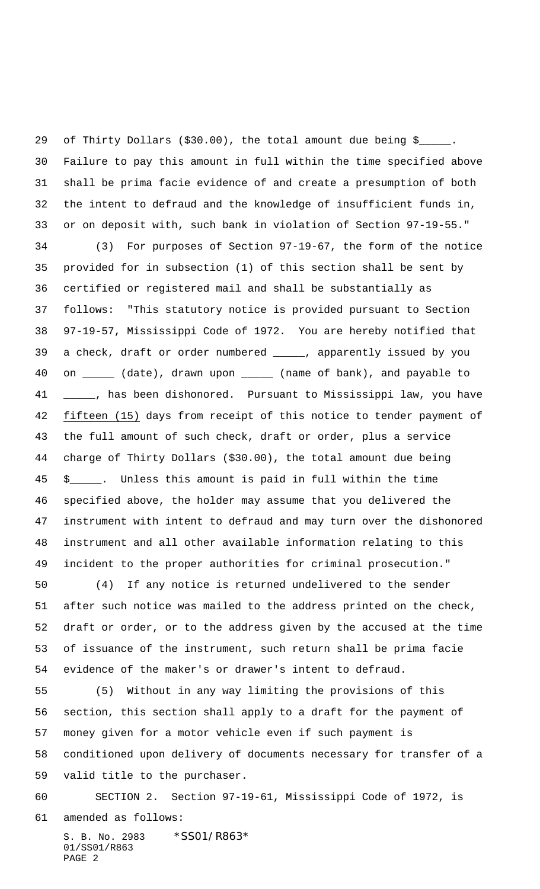of Thirty Dollars (\$30.00), the total amount due being \$\_\_\_\_\_. Failure to pay this amount in full within the time specified above shall be prima facie evidence of and create a presumption of both the intent to defraud and the knowledge of insufficient funds in, or on deposit with, such bank in violation of Section 97-19-55."

 (3) For purposes of Section 97-19-67, the form of the notice provided for in subsection (1) of this section shall be sent by certified or registered mail and shall be substantially as follows: "This statutory notice is provided pursuant to Section 97-19-57, Mississippi Code of 1972. You are hereby notified that a check, draft or order numbered \_\_\_\_\_, apparently issued by you 40 on \_\_\_\_\_ (date), drawn upon \_\_\_\_\_ (name of bank), and payable to 41 \_\_\_\_, has been dishonored. Pursuant to Mississippi law, you have fifteen (15) days from receipt of this notice to tender payment of the full amount of such check, draft or order, plus a service charge of Thirty Dollars (\$30.00), the total amount due being \$\_\_\_\_\_. Unless this amount is paid in full within the time specified above, the holder may assume that you delivered the instrument with intent to defraud and may turn over the dishonored instrument and all other available information relating to this incident to the proper authorities for criminal prosecution."

 (4) If any notice is returned undelivered to the sender after such notice was mailed to the address printed on the check, draft or order, or to the address given by the accused at the time of issuance of the instrument, such return shall be prima facie evidence of the maker's or drawer's intent to defraud.

 (5) Without in any way limiting the provisions of this section, this section shall apply to a draft for the payment of money given for a motor vehicle even if such payment is conditioned upon delivery of documents necessary for transfer of a valid title to the purchaser.

SECTION 2. Section 97-19-61, Mississippi Code of 1972, is

amended as follows:

S. B. No. 2983 \*SS01/R863\* 01/SS01/R863 PAGE 2